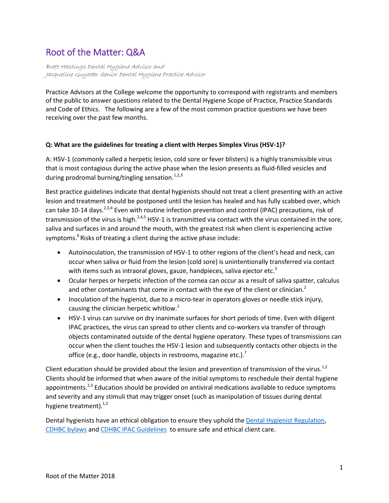# Root of the Matter: Q&A

Brett Hastings Dental Hygiene Advisor and Jacqueline Guyader Senior Dental Hygiene Practice Advisor

Practice Advisors at the College welcome the opportunity to correspond with registrants and members of the public to answer questions related to the Dental Hygiene Scope of Practice, Practice Standards and Code of Ethics. The following are a few of the most common practice questions we have been receiving over the past few months.

## **Q: What are the guidelines for treating a client with Herpes Simplex Virus (HSV-1)?**

A: HSV-1 (commonly called a herpetic lesion, cold sore or fever blisters) is a highly transmissible virus that is most contagious during the active phase when the lesion presents as fluid-filled vesicles and during prodromal burning/tingling sensation.<sup>1,2,3</sup>

Best practice guidelines indicate that dental hygienists should not treat a client presenting with an active lesion and treatment should be postponed until the lesion has healed and has fully scabbed over, which can take 10-14 days.<sup>2,3,4</sup> Even with routine infection prevention and control (IPAC) precautions, risk of transmission of the virus is high.<sup>2,4,5</sup> HSV-1 is transmitted via contact with the virus contained in the sore, saliva and surfaces in and around the mouth, with the greatest risk when client is experiencing active symptoms.<sup>6</sup> Risks of treating a client during the active phase include:

- Autoinoculation, the transmission of HSV-1 to other regions of the client's head and neck, can occur when saliva or fluid from the lesion (cold sore) is unintentionally transferred via contact with items such as intraoral gloves, gauze, handpieces, saliva ejector etc.<sup>3</sup>
- Ocular herpes or herpetic infection of the cornea can occur as a result of saliva spatter, calculus and other contaminants that come in contact with the eye of the client or clinician. $^2$
- Inoculation of the hygienist, due to a micro-tear in operators gloves or needle stick injury, causing the clinician herpetic whitlow.<sup>2</sup>
- HSV-1 virus can survive on dry inanimate surfaces for short periods of time. Even with diligent IPAC practices, the virus can spread to other clients and co-workers via transfer of through objects contaminated outside of the dental hygiene operatory. These types of transmissions can occur when the client touches the HSV-1 lesion and subsequently contacts other objects in the office (e.g., door handle, objects in restrooms, magazine etc.).<sup>7</sup>

Client education should be provided about the lesion and prevention of transmission of the virus.<sup>1,2</sup> Clients should be informed that when aware of the initial symptoms to reschedule their dental hygiene appointments.<sup>2,3</sup> Education should be provided on antiviral medications available to reduce symptoms and severity and any stimuli that may trigger onset (such as manipulation of tissues during dental hygiene treatment). $1,2$ 

Dental hygienists have an ethical obligation to ensure they uphold the [Dental Hygienist](http://www.bclaws.ca/civix/document/id/complete/statreg/276_2008) Regulation, [CDHBC bylaws](http://www.cdhbc.com/Practice-Resources/Regulation-and-Bylaws/Bylaws.aspx) an[d CDHBC IPAC Guidelines](http://www.cdhbc.com/Documents/Infection-Prevention.aspx) to ensure safe and ethical client care.